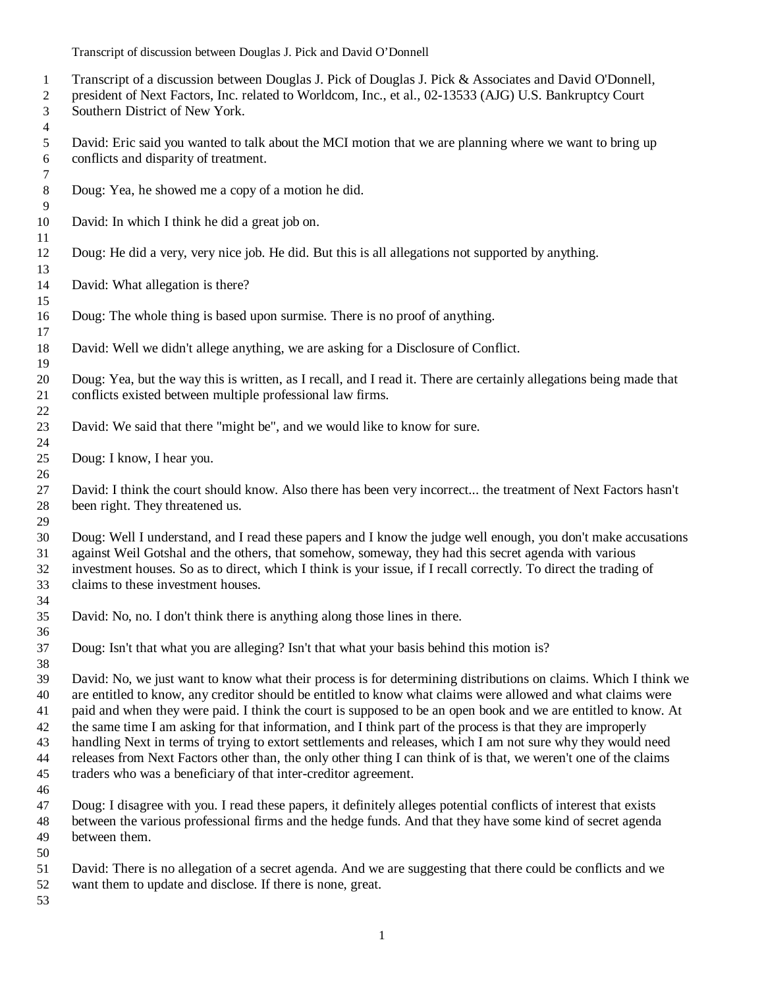- Transcript of a discussion between Douglas J. Pick of Douglas J. Pick & Associates and David O'Donnell,
- president of Next Factors, Inc. related to Worldcom, Inc., et al., 02-13533 (AJG) U.S. Bankruptcy Court Southern District of New York.
- 

 David: Eric said you wanted to talk about the MCI motion that we are planning where we want to bring up conflicts and disparity of treatment.

- Doug: Yea, he showed me a copy of a motion he did.
- David: In which I think he did a great job on.
- Doug: He did a very, very nice job. He did. But this is all allegations not supported by anything.
- David: What allegation is there?
- Doug: The whole thing is based upon surmise. There is no proof of anything.
- David: Well we didn't allege anything, we are asking for a Disclosure of Conflict.

 Doug: Yea, but the way this is written, as I recall, and I read it. There are certainly allegations being made that conflicts existed between multiple professional law firms. 

- David: We said that there "might be", and we would like to know for sure.
- Doug: I know, I hear you.

 David: I think the court should know. Also there has been very incorrect... the treatment of Next Factors hasn't been right. They threatened us. 

 Doug: Well I understand, and I read these papers and I know the judge well enough, you don't make accusations against Weil Gotshal and the others, that somehow, someway, they had this secret agenda with various investment houses. So as to direct, which I think is your issue, if I recall correctly. To direct the trading of claims to these investment houses.

- David: No, no. I don't think there is anything along those lines in there.
- Doug: Isn't that what you are alleging? Isn't that what your basis behind this motion is?

 David: No, we just want to know what their process is for determining distributions on claims. Which I think we are entitled to know, any creditor should be entitled to know what claims were allowed and what claims were paid and when they were paid. I think the court is supposed to be an open book and we are entitled to know. At the same time I am asking for that information, and I think part of the process is that they are improperly handling Next in terms of trying to extort settlements and releases, which I am not sure why they would need releases from Next Factors other than, the only other thing I can think of is that, we weren't one of the claims traders who was a beneficiary of that inter-creditor agreement.

- 
- Doug: I disagree with you. I read these papers, it definitely alleges potential conflicts of interest that exists between the various professional firms and the hedge funds. And that they have some kind of secret agenda between them.
- 

 David: There is no allegation of a secret agenda. And we are suggesting that there could be conflicts and we want them to update and disclose. If there is none, great.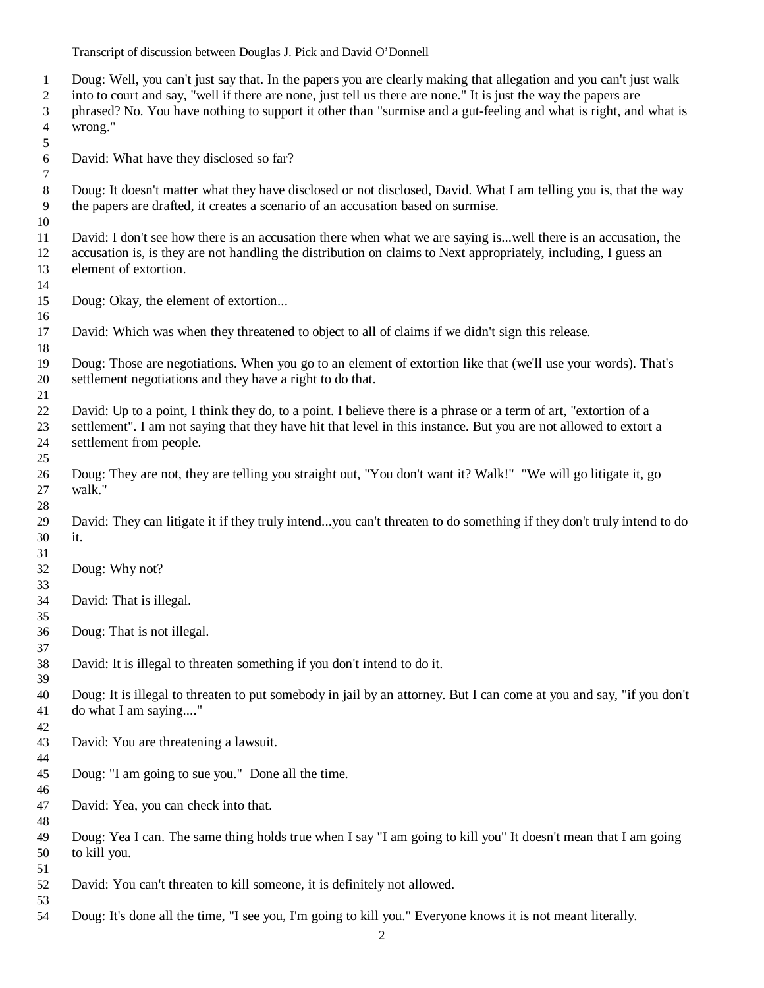- Doug: Well, you can't just say that. In the papers you are clearly making that allegation and you can't just walk into to court and say, "well if there are none, just tell us there are none." It is just the way the papers are
- phrased? No. You have nothing to support it other than "surmise and a gut-feeling and what is right, and what is wrong."
- David: What have they disclosed so far?
- Doug: It doesn't matter what they have disclosed or not disclosed, David. What I am telling you is, that the way the papers are drafted, it creates a scenario of an accusation based on surmise.
- David: I don't see how there is an accusation there when what we are saying is...well there is an accusation, the accusation is, is they are not handling the distribution on claims to Next appropriately, including, I guess an element of extortion.
- Doug: Okay, the element of extortion...
- David: Which was when they threatened to object to all of claims if we didn't sign this release.
- Doug: Those are negotiations. When you go to an element of extortion like that (we'll use your words). That's settlement negotiations and they have a right to do that.
- David: Up to a point, I think they do, to a point. I believe there is a phrase or a term of art, "extortion of a settlement". I am not saying that they have hit that level in this instance. But you are not allowed to extort a settlement from people.
- Doug: They are not, they are telling you straight out, "You don't want it? Walk!" "We will go litigate it, go walk."
- David: They can litigate it if they truly intend...you can't threaten to do something if they don't truly intend to do it.
- Doug: Why not?
- David: That is illegal.
- Doug: That is not illegal.
- 

- David: It is illegal to threaten something if you don't intend to do it.
- Doug: It is illegal to threaten to put somebody in jail by an attorney. But I can come at you and say, "if you don't do what I am saying...."
- David: You are threatening a lawsuit.
- Doug: "I am going to sue you." Done all the time.
- David: Yea, you can check into that.
- Doug: Yea I can. The same thing holds true when I say "I am going to kill you" It doesn't mean that I am going to kill you.
- David: You can't threaten to kill someone, it is definitely not allowed.
- Doug: It's done all the time, "I see you, I'm going to kill you." Everyone knows it is not meant literally.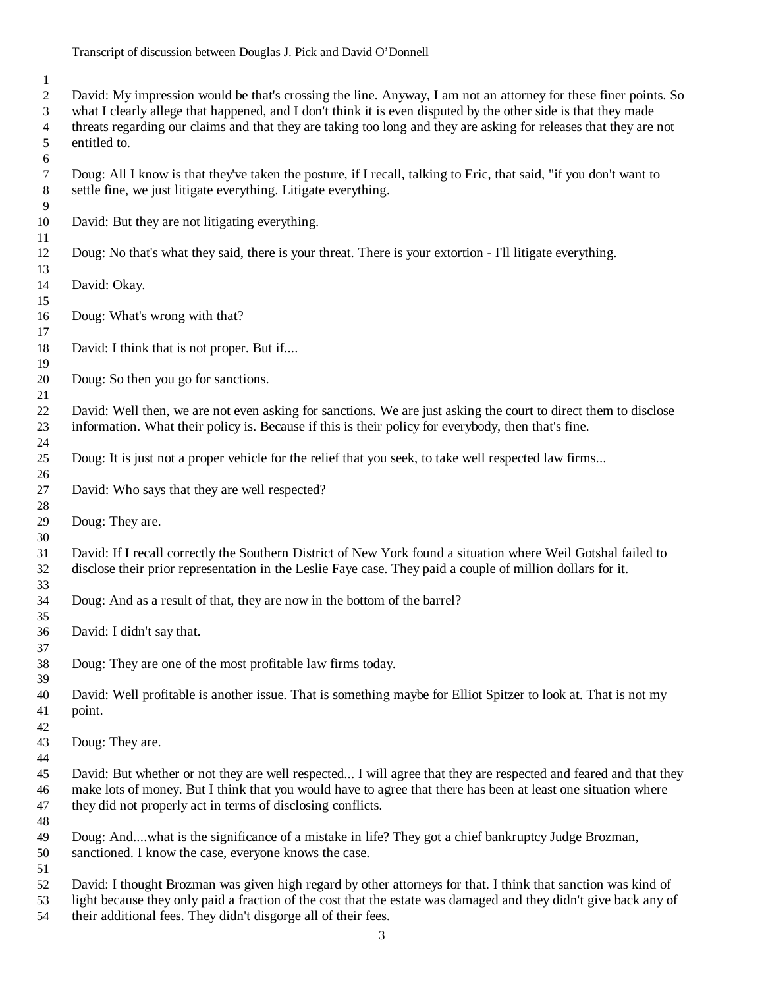David: My impression would be that's crossing the line. Anyway, I am not an attorney for these finer points. So what I clearly allege that happened, and I don't think it is even disputed by the other side is that they made threats regarding our claims and that they are taking too long and they are asking for releases that they are not entitled to. 

 Doug: All I know is that they've taken the posture, if I recall, talking to Eric, that said, "if you don't want to settle fine, we just litigate everything. Litigate everything.

- David: But they are not litigating everything.
- Doug: No that's what they said, there is your threat. There is your extortion I'll litigate everything.
- David: Okay.

- Doug: What's wrong with that?
- David: I think that is not proper. But if....
- Doug: So then you go for sanctions.

 David: Well then, we are not even asking for sanctions. We are just asking the court to direct them to disclose information. What their policy is. Because if this is their policy for everybody, then that's fine.

- Doug: It is just not a proper vehicle for the relief that you seek, to take well respected law firms...
- David: Who says that they are well respected?
- Doug: They are.
- 

 David: If I recall correctly the Southern District of New York found a situation where Weil Gotshal failed to disclose their prior representation in the Leslie Faye case. They paid a couple of million dollars for it.

- Doug: And as a result of that, they are now in the bottom of the barrel?
- David: I didn't say that.
- 
- Doug: They are one of the most profitable law firms today.

 David: Well profitable is another issue. That is something maybe for Elliot Spitzer to look at. That is not my point.

- 
- Doug: They are.
- 

 David: But whether or not they are well respected... I will agree that they are respected and feared and that they make lots of money. But I think that you would have to agree that there has been at least one situation where they did not properly act in terms of disclosing conflicts.

- Doug: And....what is the significance of a mistake in life? They got a chief bankruptcy Judge Brozman, sanctioned. I know the case, everyone knows the case.
- 

David: I thought Brozman was given high regard by other attorneys for that. I think that sanction was kind of

 light because they only paid a fraction of the cost that the estate was damaged and they didn't give back any of their additional fees. They didn't disgorge all of their fees.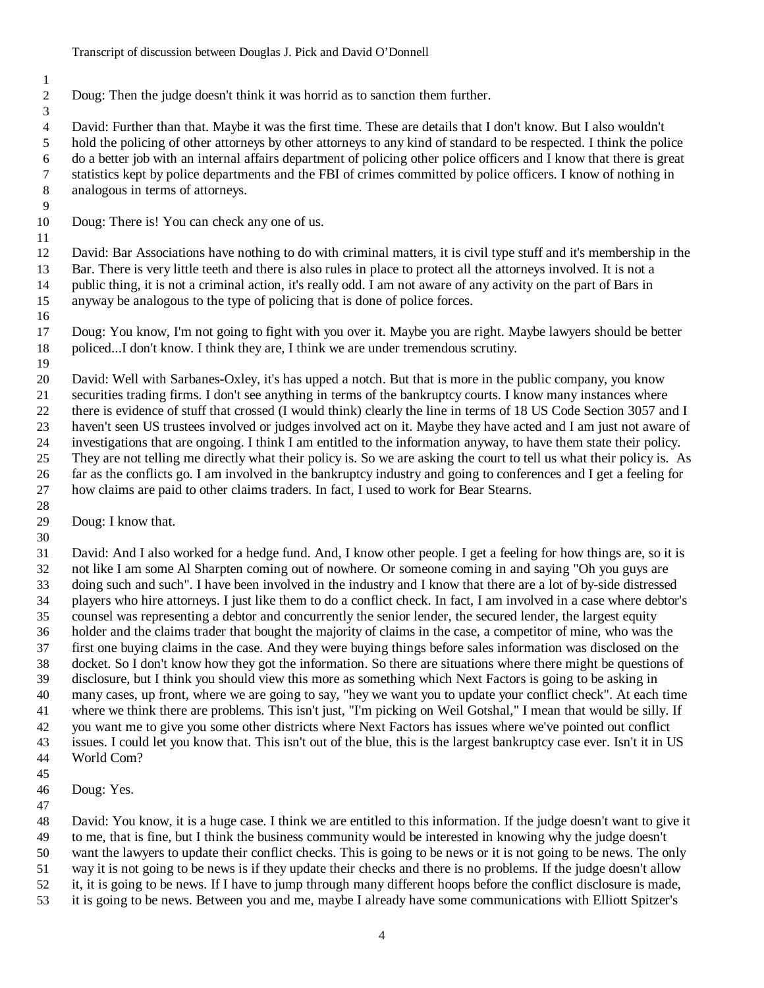Doug: Then the judge doesn't think it was horrid as to sanction them further.

 David: Further than that. Maybe it was the first time. These are details that I don't know. But I also wouldn't hold the policing of other attorneys by other attorneys to any kind of standard to be respected. I think the police do a better job with an internal affairs department of policing other police officers and I know that there is great statistics kept by police departments and the FBI of crimes committed by police officers. I know of nothing in analogous in terms of attorneys.

- Doug: There is! You can check any one of us.
- 

 David: Bar Associations have nothing to do with criminal matters, it is civil type stuff and it's membership in the Bar. There is very little teeth and there is also rules in place to protect all the attorneys involved. It is not a public thing, it is not a criminal action, it's really odd. I am not aware of any activity on the part of Bars in anyway be analogous to the type of policing that is done of police forces.

 Doug: You know, I'm not going to fight with you over it. Maybe you are right. Maybe lawyers should be better policed...I don't know. I think they are, I think we are under tremendous scrutiny. 

 David: Well with Sarbanes-Oxley, it's has upped a notch. But that is more in the public company, you know securities trading firms. I don't see anything in terms of the bankruptcy courts. I know many instances where there is evidence of stuff that crossed (I would think) clearly the line in terms of 18 US Code Section 3057 and I haven't seen US trustees involved or judges involved act on it. Maybe they have acted and I am just not aware of investigations that are ongoing. I think I am entitled to the information anyway, to have them state their policy. They are not telling me directly what their policy is. So we are asking the court to tell us what their policy is. As far as the conflicts go. I am involved in the bankruptcy industry and going to conferences and I get a feeling for how claims are paid to other claims traders. In fact, I used to work for Bear Stearns.

Doug: I know that.

 David: And I also worked for a hedge fund. And, I know other people. I get a feeling for how things are, so it is not like I am some Al Sharpten coming out of nowhere. Or someone coming in and saying "Oh you guys are doing such and such". I have been involved in the industry and I know that there are a lot of by-side distressed players who hire attorneys. I just like them to do a conflict check. In fact, I am involved in a case where debtor's counsel was representing a debtor and concurrently the senior lender, the secured lender, the largest equity holder and the claims trader that bought the majority of claims in the case, a competitor of mine, who was the first one buying claims in the case. And they were buying things before sales information was disclosed on the docket. So I don't know how they got the information. So there are situations where there might be questions of disclosure, but I think you should view this more as something which Next Factors is going to be asking in many cases, up front, where we are going to say, "hey we want you to update your conflict check". At each time where we think there are problems. This isn't just, "I'm picking on Weil Gotshal," I mean that would be silly. If you want me to give you some other districts where Next Factors has issues where we've pointed out conflict issues. I could let you know that. This isn't out of the blue, this is the largest bankruptcy case ever. Isn't it in US World Com?

Doug: Yes.

David: You know, it is a huge case. I think we are entitled to this information. If the judge doesn't want to give it

 to me, that is fine, but I think the business community would be interested in knowing why the judge doesn't want the lawyers to update their conflict checks. This is going to be news or it is not going to be news. The only

way it is not going to be news is if they update their checks and there is no problems. If the judge doesn't allow

- it, it is going to be news. If I have to jump through many different hoops before the conflict disclosure is made,
- it is going to be news. Between you and me, maybe I already have some communications with Elliott Spitzer's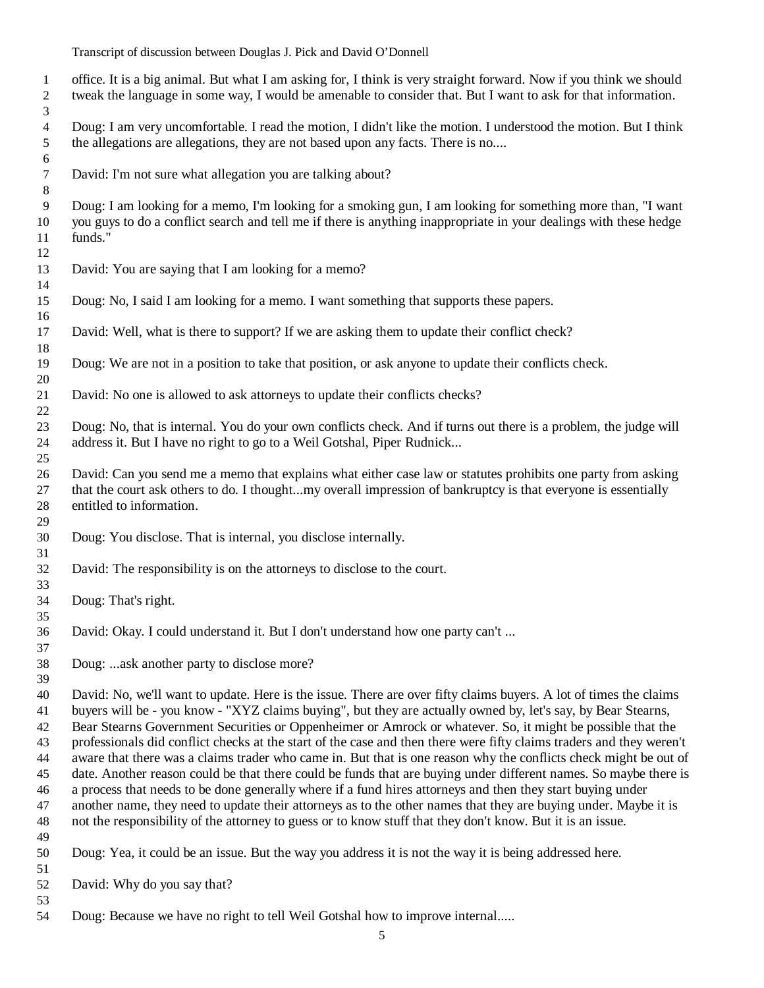office. It is a big animal. But what I am asking for, I think is very straight forward. Now if you think we should tweak the language in some way, I would be amenable to consider that. But I want to ask for that information.

 Doug: I am very uncomfortable. I read the motion, I didn't like the motion. I understood the motion. But I think the allegations are allegations, they are not based upon any facts. There is no....

 David: I'm not sure what allegation you are talking about?

 Doug: I am looking for a memo, I'm looking for a smoking gun, I am looking for something more than, "I want you guys to do a conflict search and tell me if there is anything inappropriate in your dealings with these hedge funds." 

- David: You are saying that I am looking for a memo?
- Doug: No, I said I am looking for a memo. I want something that supports these papers.
- David: Well, what is there to support? If we are asking them to update their conflict check?

Doug: We are not in a position to take that position, or ask anyone to update their conflicts check.

David: No one is allowed to ask attorneys to update their conflicts checks?

 Doug: No, that is internal. You do your own conflicts check. And if turns out there is a problem, the judge will address it. But I have no right to go to a Weil Gotshal, Piper Rudnick...

- David: Can you send me a memo that explains what either case law or statutes prohibits one party from asking that the court ask others to do. I thought...my overall impression of bankruptcy is that everyone is essentially entitled to information.
- Doug: You disclose. That is internal, you disclose internally.
- David: The responsibility is on the attorneys to disclose to the court.
- Doug: That's right.
- David: Okay. I could understand it. But I don't understand how one party can't ...
- 

Doug: ...ask another party to disclose more?

 David: No, we'll want to update. Here is the issue. There are over fifty claims buyers. A lot of times the claims buyers will be - you know - "XYZ claims buying", but they are actually owned by, let's say, by Bear Stearns, Bear Stearns Government Securities or Oppenheimer or Amrock or whatever. So, it might be possible that the professionals did conflict checks at the start of the case and then there were fifty claims traders and they weren't aware that there was a claims trader who came in. But that is one reason why the conflicts check might be out of date. Another reason could be that there could be funds that are buying under different names. So maybe there is a process that needs to be done generally where if a fund hires attorneys and then they start buying under another name, they need to update their attorneys as to the other names that they are buying under. Maybe it is not the responsibility of the attorney to guess or to know stuff that they don't know. But it is an issue. 

- Doug: Yea, it could be an issue. But the way you address it is not the way it is being addressed here.
- David: Why do you say that?
- 
- Doug: Because we have no right to tell Weil Gotshal how to improve internal.....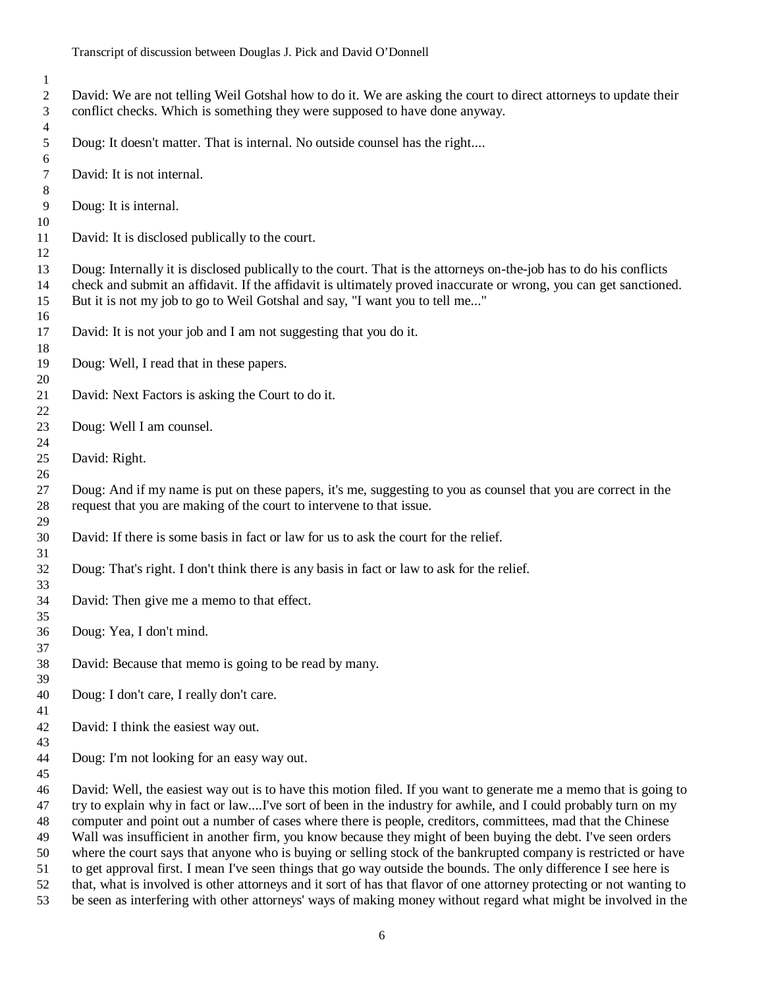- David: We are not telling Weil Gotshal how to do it. We are asking the court to direct attorneys to update their conflict checks. Which is something they were supposed to have done anyway. Doug: It doesn't matter. That is internal. No outside counsel has the right.... David: It is not internal. Doug: It is internal. David: It is disclosed publically to the court. Doug: Internally it is disclosed publically to the court. That is the attorneys on-the-job has to do his conflicts check and submit an affidavit. If the affidavit is ultimately proved inaccurate or wrong, you can get sanctioned. But it is not my job to go to Weil Gotshal and say, "I want you to tell me..." David: It is not your job and I am not suggesting that you do it. Doug: Well, I read that in these papers. David: Next Factors is asking the Court to do it. Doug: Well I am counsel. David: Right. Doug: And if my name is put on these papers, it's me, suggesting to you as counsel that you are correct in the request that you are making of the court to intervene to that issue. David: If there is some basis in fact or law for us to ask the court for the relief. Doug: That's right. I don't think there is any basis in fact or law to ask for the relief. David: Then give me a memo to that effect. Doug: Yea, I don't mind. David: Because that memo is going to be read by many. Doug: I don't care, I really don't care. David: I think the easiest way out. Doug: I'm not looking for an easy way out. David: Well, the easiest way out is to have this motion filed. If you want to generate me a memo that is going to try to explain why in fact or law....I've sort of been in the industry for awhile, and I could probably turn on my computer and point out a number of cases where there is people, creditors, committees, mad that the Chinese
- Wall was insufficient in another firm, you know because they might of been buying the debt. I've seen orders
- where the court says that anyone who is buying or selling stock of the bankrupted company is restricted or have
- to get approval first. I mean I've seen things that go way outside the bounds. The only difference I see here is
- that, what is involved is other attorneys and it sort of has that flavor of one attorney protecting or not wanting to
- be seen as interfering with other attorneys' ways of making money without regard what might be involved in the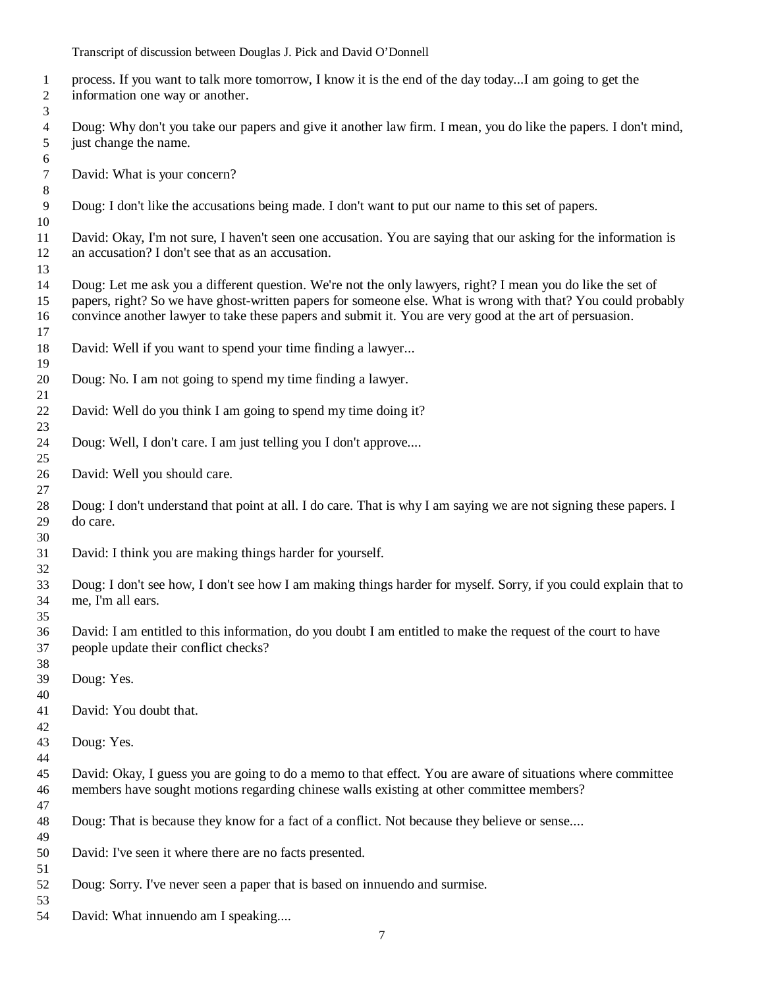- process. If you want to talk more tomorrow, I know it is the end of the day today...I am going to get the information one way or another.
- Doug: Why don't you take our papers and give it another law firm. I mean, you do like the papers. I don't mind, just change the name.
- David: What is your concern?

Doug: I don't like the accusations being made. I don't want to put our name to this set of papers.

 David: Okay, I'm not sure, I haven't seen one accusation. You are saying that our asking for the information is an accusation? I don't see that as an accusation.

 Doug: Let me ask you a different question. We're not the only lawyers, right? I mean you do like the set of papers, right? So we have ghost-written papers for someone else. What is wrong with that? You could probably convince another lawyer to take these papers and submit it. You are very good at the art of persuasion.

- David: Well if you want to spend your time finding a lawyer...
- Doug: No. I am not going to spend my time finding a lawyer.
- David: Well do you think I am going to spend my time doing it?
- Doug: Well, I don't care. I am just telling you I don't approve....
- David: Well you should care.
- Doug: I don't understand that point at all. I do care. That is why I am saying we are not signing these papers. I do care.
- David: I think you are making things harder for yourself.
- Doug: I don't see how, I don't see how I am making things harder for myself. Sorry, if you could explain that to me, I'm all ears.
- David: I am entitled to this information, do you doubt I am entitled to make the request of the court to have people update their conflict checks?
- Doug: Yes.
- David: You doubt that.
- 

- Doug: Yes.
- David: Okay, I guess you are going to do a memo to that effect. You are aware of situations where committee members have sought motions regarding chinese walls existing at other committee members?
- 

- Doug: That is because they know for a fact of a conflict. Not because they believe or sense....
- David: I've seen it where there are no facts presented.
- Doug: Sorry. I've never seen a paper that is based on innuendo and surmise.
- David: What innuendo am I speaking....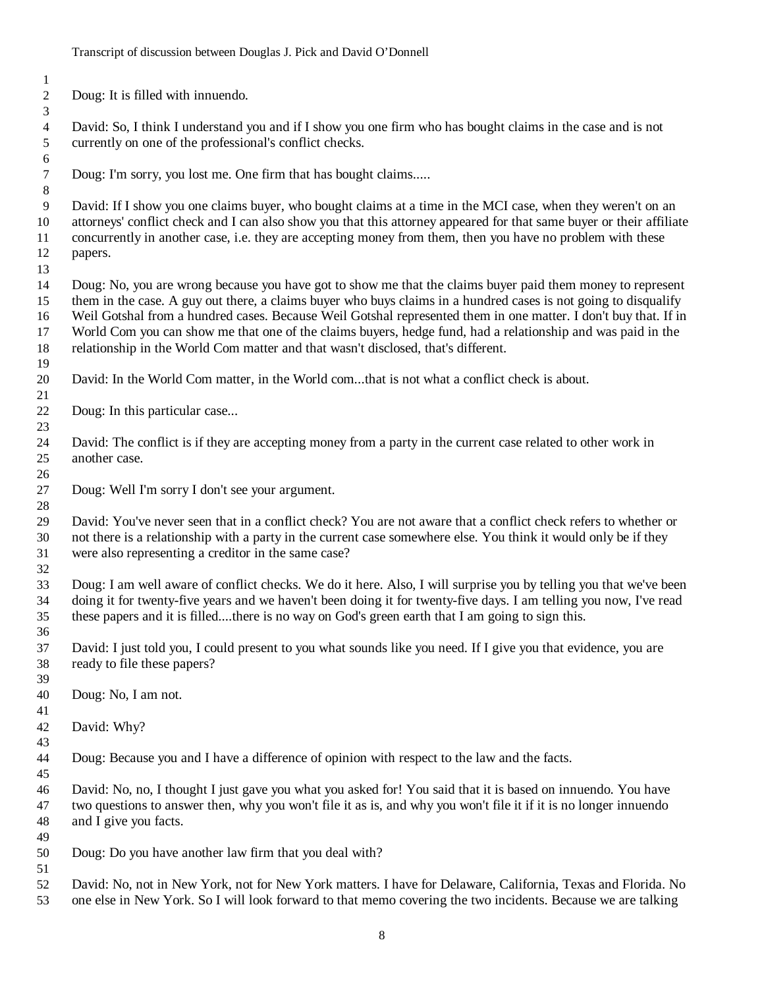Doug: It is filled with innuendo.

 David: So, I think I understand you and if I show you one firm who has bought claims in the case and is not currently on one of the professional's conflict checks.

Doug: I'm sorry, you lost me. One firm that has bought claims.....

 David: If I show you one claims buyer, who bought claims at a time in the MCI case, when they weren't on an attorneys' conflict check and I can also show you that this attorney appeared for that same buyer or their affiliate concurrently in another case, i.e. they are accepting money from them, then you have no problem with these papers.

- Doug: No, you are wrong because you have got to show me that the claims buyer paid them money to represent them in the case. A guy out there, a claims buyer who buys claims in a hundred cases is not going to disqualify Weil Gotshal from a hundred cases. Because Weil Gotshal represented them in one matter. I don't buy that. If in World Com you can show me that one of the claims buyers, hedge fund, had a relationship and was paid in the relationship in the World Com matter and that wasn't disclosed, that's different.
- David: In the World Com matter, in the World com...that is not what a conflict check is about.
- Doug: In this particular case...
- David: The conflict is if they are accepting money from a party in the current case related to other work in another case.
- Doug: Well I'm sorry I don't see your argument.

 David: You've never seen that in a conflict check? You are not aware that a conflict check refers to whether or not there is a relationship with a party in the current case somewhere else. You think it would only be if they were also representing a creditor in the same case?

 Doug: I am well aware of conflict checks. We do it here. Also, I will surprise you by telling you that we've been doing it for twenty-five years and we haven't been doing it for twenty-five days. I am telling you now, I've read these papers and it is filled....there is no way on God's green earth that I am going to sign this.

 David: I just told you, I could present to you what sounds like you need. If I give you that evidence, you are ready to file these papers?

- Doug: No, I am not.
- 

David: Why?

Doug: Because you and I have a difference of opinion with respect to the law and the facts.

 David: No, no, I thought I just gave you what you asked for! You said that it is based on innuendo. You have two questions to answer then, why you won't file it as is, and why you won't file it if it is no longer innuendo and I give you facts.

 Doug: Do you have another law firm that you deal with?

David: No, not in New York, not for New York matters. I have for Delaware, California, Texas and Florida. No

one else in New York. So I will look forward to that memo covering the two incidents. Because we are talking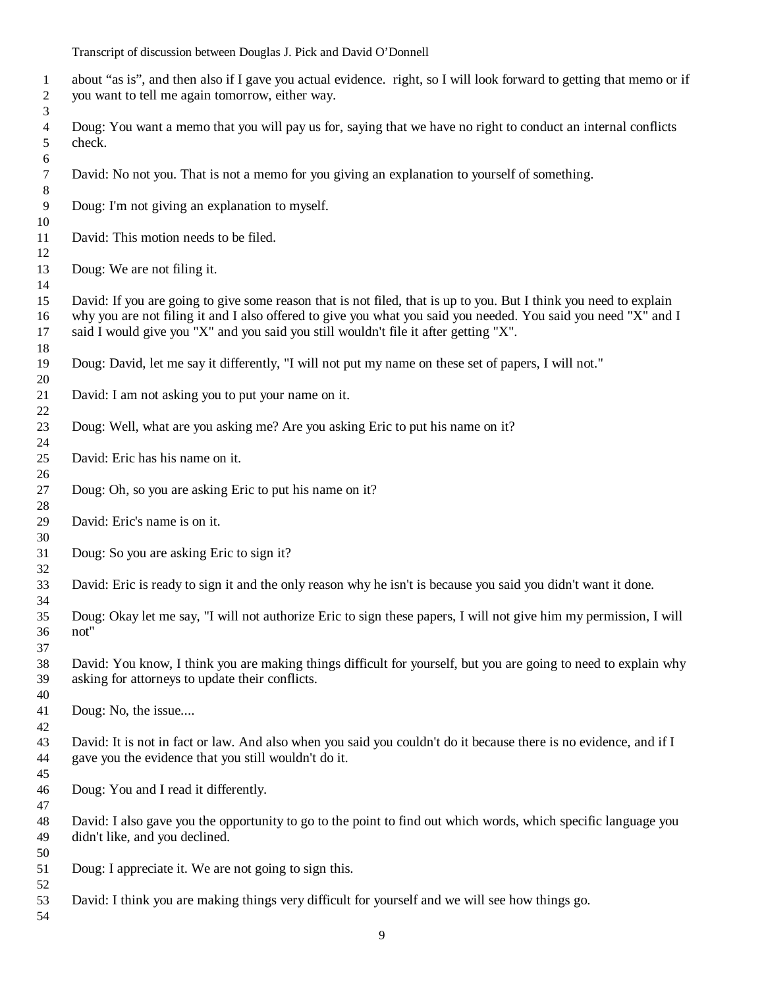- about "as is", and then also if I gave you actual evidence. right, so I will look forward to getting that memo or if you want to tell me again tomorrow, either way.
- Doug: You want a memo that you will pay us for, saying that we have no right to conduct an internal conflicts check.
- David: No not you. That is not a memo for you giving an explanation to yourself of something.
- Doug: I'm not giving an explanation to myself.
- David: This motion needs to be filed.
- 

Doug: We are not filing it.

 David: If you are going to give some reason that is not filed, that is up to you. But I think you need to explain why you are not filing it and I also offered to give you what you said you needed. You said you need "X" and I said I would give you "X" and you said you still wouldn't file it after getting "X".

- Doug: David, let me say it differently, "I will not put my name on these set of papers, I will not."
- David: I am not asking you to put your name on it.
- Doug: Well, what are you asking me? Are you asking Eric to put his name on it?
- David: Eric has his name on it.
- Doug: Oh, so you are asking Eric to put his name on it?
- David: Eric's name is on it.
- Doug: So you are asking Eric to sign it?
- David: Eric is ready to sign it and the only reason why he isn't is because you said you didn't want it done.
- Doug: Okay let me say, "I will not authorize Eric to sign these papers, I will not give him my permission, I will not"
- David: You know, I think you are making things difficult for yourself, but you are going to need to explain why asking for attorneys to update their conflicts.
- Doug: No, the issue....
- 
- David: It is not in fact or law. And also when you said you couldn't do it because there is no evidence, and if I gave you the evidence that you still wouldn't do it.
- 

Doug: You and I read it differently.

- 
- David: I also gave you the opportunity to go to the point to find out which words, which specific language you didn't like, and you declined.
- Doug: I appreciate it. We are not going to sign this.
- David: I think you are making things very difficult for yourself and we will see how things go.
-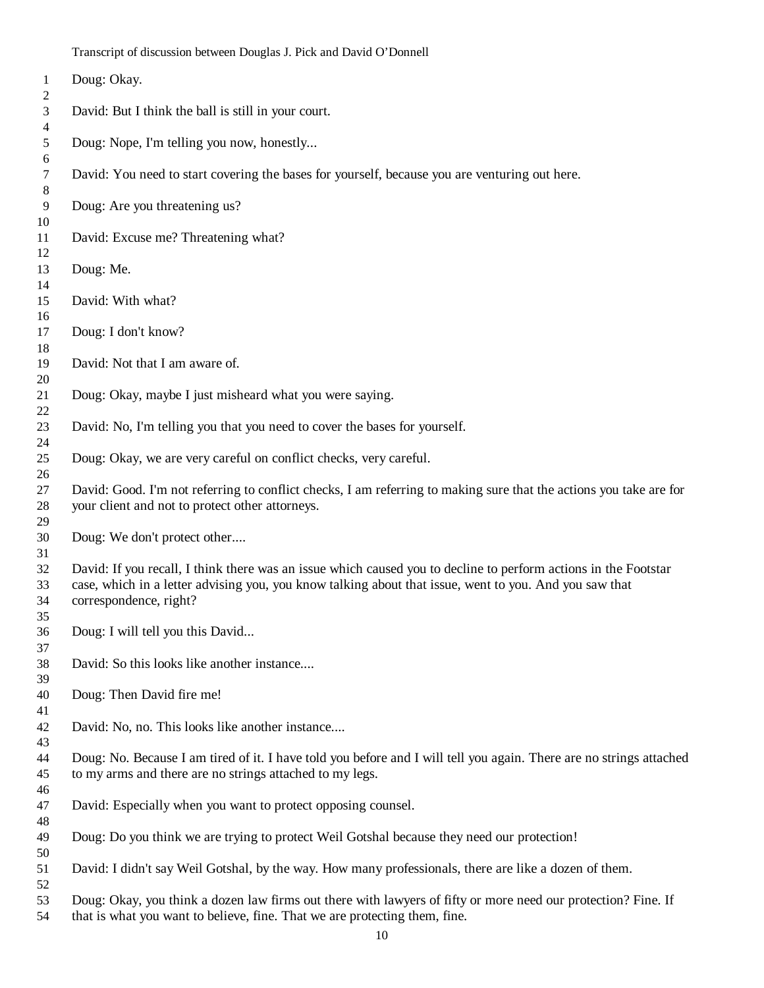| $\mathbf{1}$         | Doug: Okay.                                                                                                                                                                                                                                         |
|----------------------|-----------------------------------------------------------------------------------------------------------------------------------------------------------------------------------------------------------------------------------------------------|
| 2<br>3               | David: But I think the ball is still in your court.                                                                                                                                                                                                 |
| 4<br>5<br>6          | Doug: Nope, I'm telling you now, honestly                                                                                                                                                                                                           |
| 7<br>8               | David: You need to start covering the bases for yourself, because you are venturing out here.                                                                                                                                                       |
| 9<br>10              | Doug: Are you threatening us?                                                                                                                                                                                                                       |
| 11<br>12             | David: Excuse me? Threatening what?                                                                                                                                                                                                                 |
| 13<br>14             | Doug: Me.                                                                                                                                                                                                                                           |
| 15<br>16             | David: With what?                                                                                                                                                                                                                                   |
| 17<br>18             | Doug: I don't know?                                                                                                                                                                                                                                 |
| 19<br>20             | David: Not that I am aware of.                                                                                                                                                                                                                      |
| 21<br>22             | Doug: Okay, maybe I just misheard what you were saying.                                                                                                                                                                                             |
| 23<br>24             | David: No, I'm telling you that you need to cover the bases for yourself.                                                                                                                                                                           |
| 25<br>26             | Doug: Okay, we are very careful on conflict checks, very careful.                                                                                                                                                                                   |
| 27<br>28<br>29       | David: Good. I'm not referring to conflict checks, I am referring to making sure that the actions you take are for<br>your client and not to protect other attorneys.                                                                               |
| 30<br>31             | Doug: We don't protect other                                                                                                                                                                                                                        |
| 32<br>33<br>34<br>35 | David: If you recall, I think there was an issue which caused you to decline to perform actions in the Footstar<br>case, which in a letter advising you, you know talking about that issue, went to you. And you saw that<br>correspondence, right? |
| 36<br>37             | Doug: I will tell you this David                                                                                                                                                                                                                    |
| 38<br>39             | David: So this looks like another instance                                                                                                                                                                                                          |
| 40<br>41             | Doug: Then David fire me!                                                                                                                                                                                                                           |
| 42<br>43             | David: No, no. This looks like another instance                                                                                                                                                                                                     |
| 44<br>45<br>46       | Doug: No. Because I am tired of it. I have told you before and I will tell you again. There are no strings attached<br>to my arms and there are no strings attached to my legs.                                                                     |
| 47<br>48             | David: Especially when you want to protect opposing counsel.                                                                                                                                                                                        |
| 49<br>50             | Doug: Do you think we are trying to protect Weil Gotshal because they need our protection!                                                                                                                                                          |
| 51<br>52             | David: I didn't say Weil Gotshal, by the way. How many professionals, there are like a dozen of them.                                                                                                                                               |
| 53<br>54             | Doug: Okay, you think a dozen law firms out there with lawyers of fifty or more need our protection? Fine. If<br>that is what you want to believe, fine. That we are protecting them, fine.<br>1 <sub>0</sub>                                       |